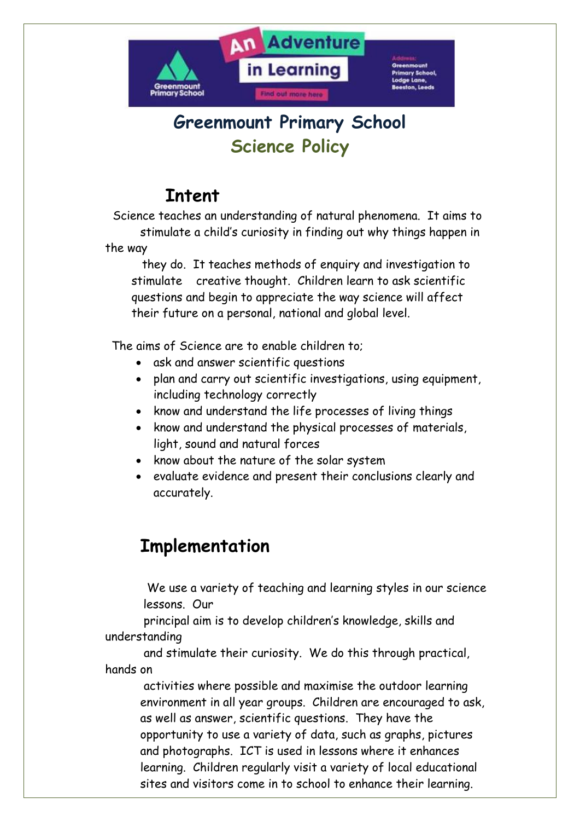

# **Greenmount Primary School Science Policy**

# **Intent**

Science teaches an understanding of natural phenomena. It aims to stimulate a child's curiosity in finding out why things happen in the way

 they do. It teaches methods of enquiry and investigation to stimulate creative thought. Children learn to ask scientific questions and begin to appreciate the way science will affect their future on a personal, national and global level.

The aims of Science are to enable children to;

- ask and answer scientific questions
- plan and carry out scientific investigations, using equipment, including technology correctly
- know and understand the life processes of living things
- know and understand the physical processes of materials, light, sound and natural forces
- know about the nature of the solar system
- evaluate evidence and present their conclusions clearly and accurately.

## **Implementation**

We use a variety of teaching and learning styles in our science lessons. Our

 principal aim is to develop children's knowledge, skills and understanding

 and stimulate their curiosity. We do this through practical, hands on

 activities where possible and maximise the outdoor learning environment in all year groups. Children are encouraged to ask, as well as answer, scientific questions. They have the opportunity to use a variety of data, such as graphs, pictures and photographs. ICT is used in lessons where it enhances learning. Children regularly visit a variety of local educational sites and visitors come in to school to enhance their learning.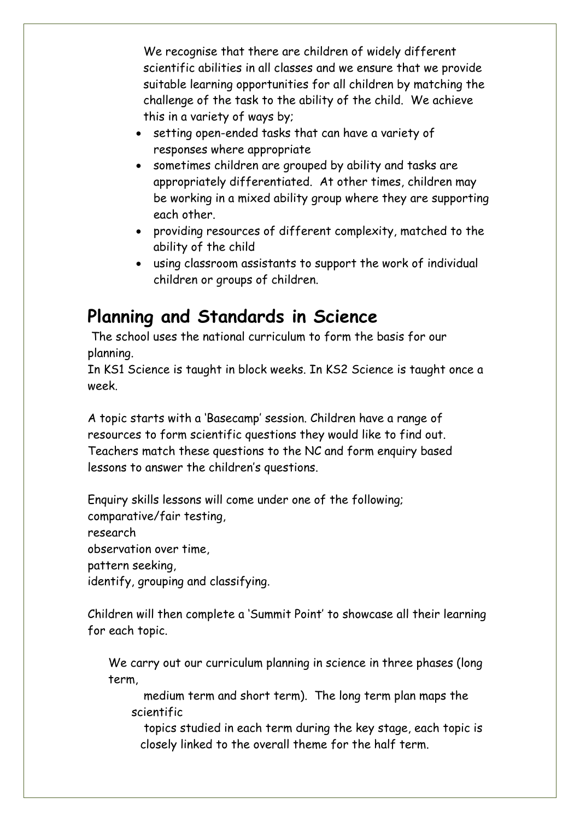We recognise that there are children of widely different scientific abilities in all classes and we ensure that we provide suitable learning opportunities for all children by matching the challenge of the task to the ability of the child. We achieve this in a variety of ways by;

- setting open-ended tasks that can have a variety of responses where appropriate
- sometimes children are grouped by ability and tasks are appropriately differentiated. At other times, children may be working in a mixed ability group where they are supporting each other.
- providing resources of different complexity, matched to the ability of the child
- using classroom assistants to support the work of individual children or groups of children.

# **Planning and Standards in Science**

The school uses the national curriculum to form the basis for our planning.

In KS1 Science is taught in block weeks. In KS2 Science is taught once a week.

A topic starts with a 'Basecamp' session. Children have a range of resources to form scientific questions they would like to find out. Teachers match these questions to the NC and form enquiry based lessons to answer the children's questions.

Enquiry skills lessons will come under one of the following; comparative/fair testing, research observation over time, pattern seeking, identify, grouping and classifying.

Children will then complete a 'Summit Point' to showcase all their learning for each topic.

We carry out our curriculum planning in science in three phases (long term,

 medium term and short term). The long term plan maps the scientific

 topics studied in each term during the key stage, each topic is closely linked to the overall theme for the half term.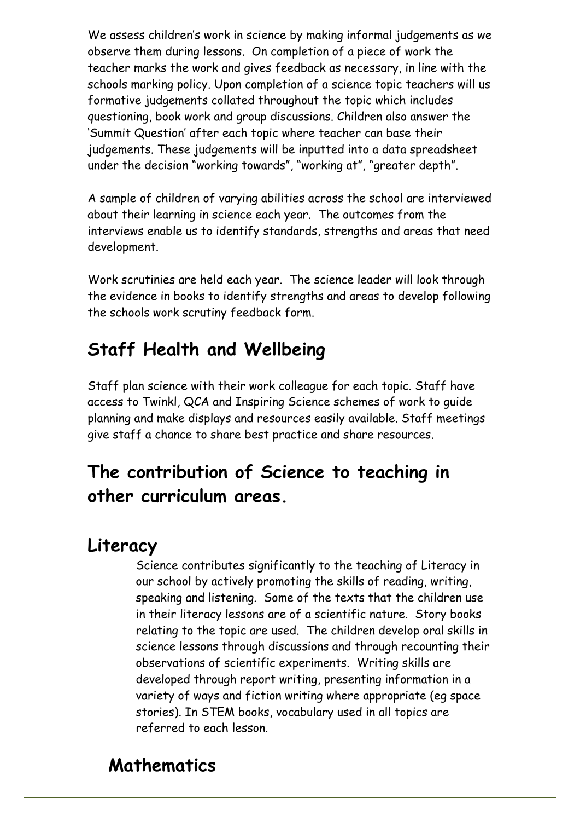We assess children's work in science by making informal judgements as we observe them during lessons. On completion of a piece of work the teacher marks the work and gives feedback as necessary, in line with the schools marking policy. Upon completion of a science topic teachers will us formative judgements collated throughout the topic which includes questioning, book work and group discussions. Children also answer the 'Summit Question' after each topic where teacher can base their judgements. These judgements will be inputted into a data spreadsheet under the decision "working towards", "working at", "greater depth".

A sample of children of varying abilities across the school are interviewed about their learning in science each year. The outcomes from the interviews enable us to identify standards, strengths and areas that need development.

Work scrutinies are held each year. The science leader will look through the evidence in books to identify strengths and areas to develop following the schools work scrutiny feedback form.

# **Staff Health and Wellbeing**

Staff plan science with their work colleague for each topic. Staff have access to Twinkl, QCA and Inspiring Science schemes of work to guide planning and make displays and resources easily available. Staff meetings give staff a chance to share best practice and share resources.

# **The contribution of Science to teaching in other curriculum areas.**

### **Literacy**

Science contributes significantly to the teaching of Literacy in our school by actively promoting the skills of reading, writing, speaking and listening. Some of the texts that the children use in their literacy lessons are of a scientific nature. Story books relating to the topic are used. The children develop oral skills in science lessons through discussions and through recounting their observations of scientific experiments. Writing skills are developed through report writing, presenting information in a variety of ways and fiction writing where appropriate (eg space stories). In STEM books, vocabulary used in all topics are referred to each lesson.

# **Mathematics**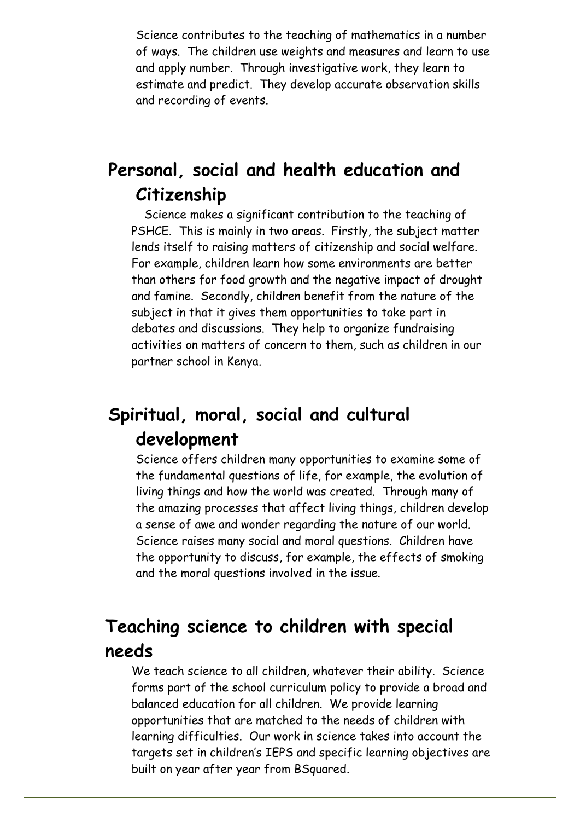Science contributes to the teaching of mathematics in a number of ways. The children use weights and measures and learn to use and apply number. Through investigative work, they learn to estimate and predict. They develop accurate observation skills and recording of events.

# **Personal, social and health education and Citizenship**

Science makes a significant contribution to the teaching of PSHCE. This is mainly in two areas. Firstly, the subject matter lends itself to raising matters of citizenship and social welfare. For example, children learn how some environments are better than others for food growth and the negative impact of drought and famine. Secondly, children benefit from the nature of the subject in that it gives them opportunities to take part in debates and discussions. They help to organize fundraising activities on matters of concern to them, such as children in our partner school in Kenya.

# **Spiritual, moral, social and cultural development**

Science offers children many opportunities to examine some of the fundamental questions of life, for example, the evolution of living things and how the world was created. Through many of the amazing processes that affect living things, children develop a sense of awe and wonder regarding the nature of our world. Science raises many social and moral questions. Children have the opportunity to discuss, for example, the effects of smoking and the moral questions involved in the issue.

## **Teaching science to children with special needs**

We teach science to all children, whatever their ability. Science forms part of the school curriculum policy to provide a broad and balanced education for all children. We provide learning opportunities that are matched to the needs of children with learning difficulties. Our work in science takes into account the targets set in children's IEPS and specific learning objectives are built on year after year from BSquared.